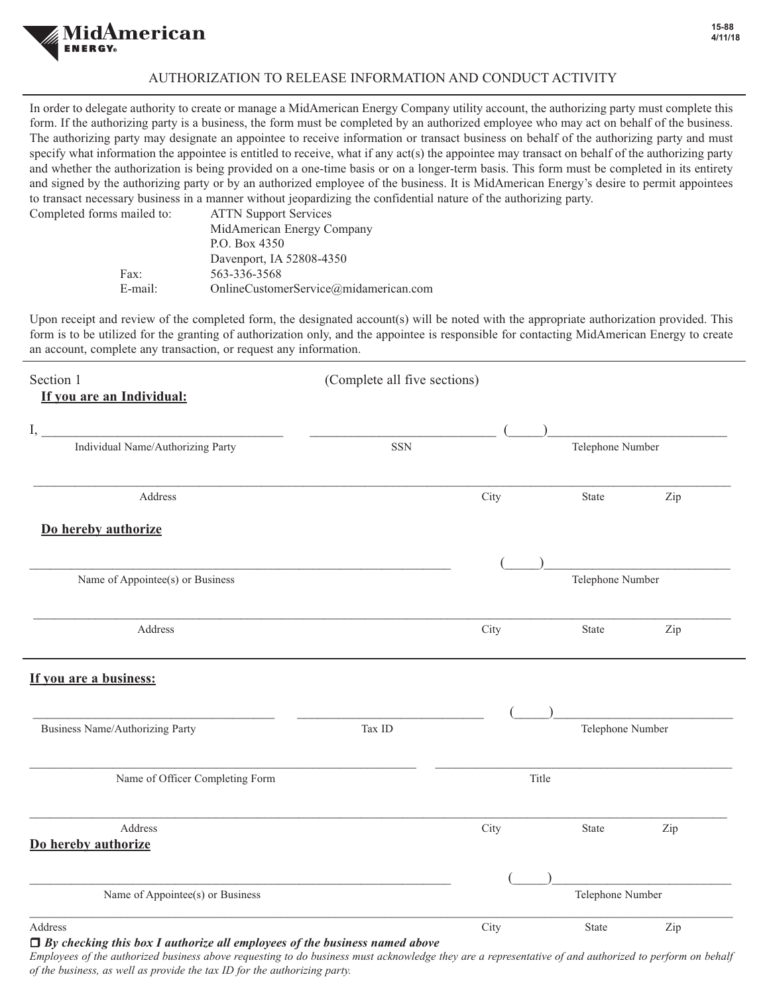

## AUTHORIZATION TO RELEASE INFORMATION AND CONDUCT ACTIVITY

In order to delegate authority to create or manage a MidAmerican Energy Company utility account, the authorizing party must complete this form. If the authorizing party is a business, the form must be completed by an authorized employee who may act on behalf of the business. The authorizing party may designate an appointee to receive information or transact business on behalf of the authorizing party and must specify what information the appointee is entitled to receive, what if any act(s) the appointee may transact on behalf of the authorizing party and whether the authorization is being provided on a one-time basis or on a longer-term basis. This form must be completed in its entirety and signed by the authorizing party or by an authorized employee of the business. It is MidAmerican Energy's desire to permit appointees to transact necessary business in a manner without jeopardizing the confidential nature of the authorizing party. Completed forms

| s mailed to: | ATTN Support Services                 |
|--------------|---------------------------------------|
|              | MidAmerican Energy Company            |
|              | P.O. Box 4350                         |
|              | Davenport, IA 52808-4350              |
| Fax:         | 563-336-3568                          |
| E-mail:      | OnlineCustomerService@midamerican.com |
|              |                                       |

Upon receipt and review of the completed form, the designated account(s) will be noted with the appropriate authorization provided. This form is to be utilized for the granting of authorization only, and the appointee is responsible for contacting MidAmerican Energy to create an account, complete any transaction, or request any information.

| Section 1                                 | (Complete all five sections) |                  |                  |     |
|-------------------------------------------|------------------------------|------------------|------------------|-----|
| If you are an Individual:                 |                              |                  |                  |     |
| I,                                        |                              |                  |                  |     |
| Individual Name/Authorizing Party         | <b>SSN</b>                   | Telephone Number |                  |     |
| Address                                   |                              | City             | State            | Zip |
| Do hereby authorize                       |                              |                  |                  |     |
|                                           |                              |                  |                  |     |
| Name of Appointee(s) or Business          |                              | Telephone Number |                  |     |
| Address                                   |                              | City             | State            | Zip |
| If you are a business:                    |                              |                  |                  |     |
|                                           |                              |                  |                  |     |
| Business Name/Authorizing Party<br>Tax ID |                              | Telephone Number |                  |     |
| Name of Officer Completing Form           | Title                        |                  |                  |     |
| Address                                   |                              | City             | State            | Zip |
| Do hereby authorize                       |                              |                  |                  |     |
|                                           |                              |                  |                  |     |
| Name of Appointee(s) or Business          |                              |                  | Telephone Number |     |
| Address<br>.                              |                              | City             | State            | Zip |

r *By checking this box I authorize all employees of the business named above*

*Employees of the authorized business above requesting to do business must acknowledge they are a representative of and authorized to perform on behalf of the business, as well as provide the tax ID for the authorizing party.*